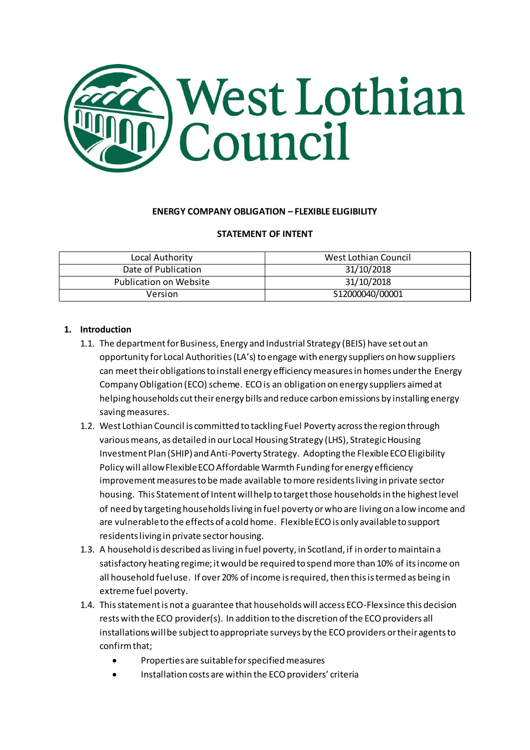

#### **ENERGY COMPANY OBLIGATION – FLEXIBLE ELIGIBILITY**

#### **STATEMENT OF INTENT**

| Local Authority        | West Lothian Council |
|------------------------|----------------------|
| Date of Publication    | 31/10/2018           |
| Publication on Website | 31/10/2018           |
| Version                | S12000040/00001      |

#### **1. Introduction**

- 1.1. The department for Business, Energy and Industrial Strategy (BEIS) have set out an opportunity for Local Authorities (LA's) to engage with energy suppliers on how suppliers can meet their obligations to install energy efficiency measures in homes under the Energy Company Obligation (ECO) scheme. ECO is an obligation on energy suppliers aimed at helping households cut their energy bills and reduce carbon emissions by installing energy saving measures.
- 1.2. West Lothian Council is committed to tackling Fuel Poverty across the region through various means, as detailed in our Local Housing Strategy (LHS), Strategic Housing Investment Plan (SHIP) and Anti-Poverty Strategy. Adopting the Flexible ECO Eligibility Policy will allow Flexible ECO Affordable Warmth Funding for energy efficiency improvement measures to be made available to more residents living in private sector housing. This Statement of Intent will help to target those households in the highest level of need by targeting households living in fuel poverty or who are living on a low income and are vulnerable to the effects of a cold home. Flexible ECO is only available to support residents living in private sector housing.
- 1.3. A household is described as living in fuel poverty, in Scotland, if in order to maintain a satisfactory heating regime; it would be required to spend more than 10% of its income on all household fuel use. If over 20% of income is required, then this is termed as being in extreme fuel poverty.
- 1.4. This statement is not a guarantee that households will access ECO-Flex since this decision rests with the ECO provider(s). In addition to the discretion of the ECO providers all installations will be subject to appropriate surveys by the ECO providers or their agents to confirm that;
	- Properties are suitable for specified measures
	- Installation costs are within the ECO providers' criteria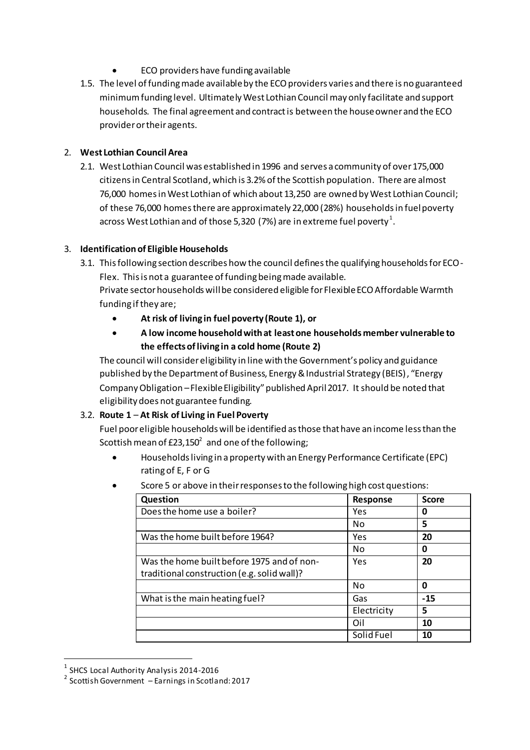- ECO providers have funding available
- 1.5. The level of funding made available by the ECO providers varies and there is no guaranteed minimum funding level. Ultimately West Lothian Council may only facilitate and support households. The final agreement and contract is between the house owner and the ECO provider or their agents.

### 2. **West Lothian Council Area**

2.1. West Lothian Council was established in 1996 and serves a community of over 175,000 citizens in Central Scotland, which is 3.2% of the Scottish population. There are almost 76,000 homes in West Lothian of which about 13,250 are owned by West Lothian Council; of these 76,000 homes there are approximately 22,000 (28%) households in fuel poverty across West Lothian and of those 5,320 (7%) are in extreme fuel poverty  $^{\rm 1}.$ 

## 3. **Identification of Eligible Households**

3.1. This following section describes how the council defines the qualifying households for ECO-

Flex. This is not a guarantee of funding being made available. Private sector households will be considered eligible for Flexible ECO Affordable Warmth funding if they are;

- **At risk of living in fuel poverty (Route 1), or**
- **A low income household with at least one households member vulnerable to the effects of living in a cold home (Route 2)**

The council will consider eligibility in line with the Government's policy and guidance published by the Department of Business, Energy & Industrial Strategy (BEIS), "Energy Company Obligation –Flexible Eligibility" published April 2017. It should be noted that eligibility does not guarantee funding.

## 3.2. **Route 1** – **At Risk of Living in Fuel Poverty**

Fuel poor eligible households will be identified as those that have an income less than the Scottish mean of £23,150 $^2\,$  and one of the following;

- Households living in a property with an Energy Performance Certificate (EPC) rating of E, F or G
- Score 5 or above in their responses to the following high cost questions:

| Question                                    | Response    | <b>Score</b> |
|---------------------------------------------|-------------|--------------|
| Does the home use a boiler?                 | Yes         | 0            |
|                                             | No          | 5            |
| Was the home built before 1964?             | Yes         | 20           |
|                                             | No          | 0            |
| Was the home built before 1975 and of non-  | Yes         | 20           |
| traditional construction (e.g. solid wall)? |             |              |
|                                             | No          | 0            |
| What is the main heating fuel?              | Gas         | $-15$        |
|                                             | Electricity | 5            |
|                                             | Oil         | 10           |
|                                             | Solid Fuel  | 10           |

<sup>&</sup>lt;sup>1</sup> SHCS Local Authority Analysis 2014-2016

 $\overline{a}$ 

<sup>2</sup> Scottish Government – Earnings in Scotland: 2017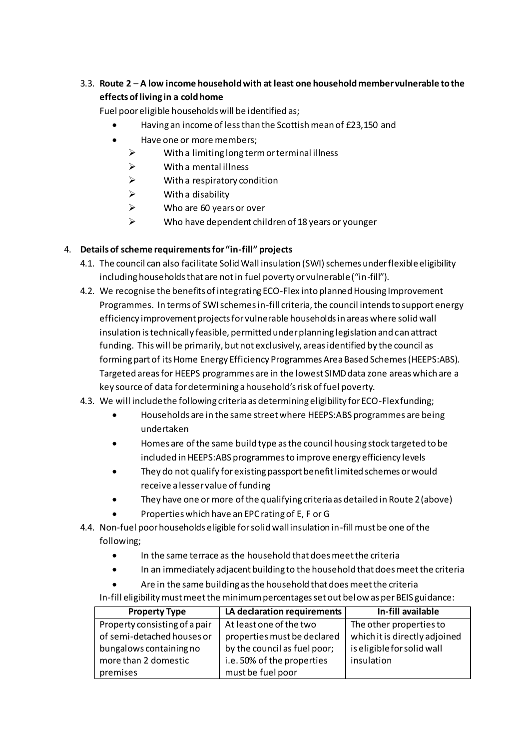# 3.3. **Route 2** – **A low income household with at least one household member vulnerable to the effects of living in a cold home**

Fuel poor eligible households will be identified as;

- Having an income of less than the Scottish mean of £23,150 and
- Have one or more members;
	- $\triangleright$  With a limiting long term or terminal illness
	- $\triangleright$  With a mental illness
	- $\triangleright$  With a respiratory condition
	- $\triangleright$  With a disability
	- $\triangleright$  Who are 60 years or over
	- Who have dependent children of 18 years or younger

## 4. **Details of scheme requirements for "in-fill" projects**

- 4.1. The council can also facilitate Solid Wall insulation (SWI) schemes under flexible eligibility including households that are not in fuel poverty or vulnerable ("in-fill").
- 4.2. We recognise the benefits of integrating ECO-Flex into planned Housing Improvement Programmes. In terms of SWI schemes in-fill criteria, the council intends to support energy efficiency improvement projects for vulnerable households in areas where solid wall insulation is technically feasible, permitted under planning legislation and can attract funding. This will be primarily, but not exclusively, areas identified by the council as forming part of its Home Energy Efficiency Programmes Area Based Schemes (HEEPS:ABS). Targeted areas for HEEPS programmes are in the lowest SIMD data zone areas which are a key source of data for determining a household's risk of fuel poverty.
- 4.3. We will include the following criteria as determining eligibility for ECO-Flex funding;
	- Households are in the same street where HEEPS:ABS programmes are being undertaken
	- Homes are of the same build type as the council housing stock targeted to be included in HEEPS:ABS programmes to improve energy efficiency levels
	- They do not qualify for existing passport benefit limited schemes or would receive a lesser value of funding
	- They have one or more of the qualifying criteria as detailed in Route 2 (above)
	- Properties which have an EPC rating of E, F or G
- 4.4. Non-fuel poor households eligible for solid wall insulation in-fill must be one of the following;
	- In the same terrace as the household that does meet the criteria
	- In an immediately adjacent building to the household that does meet the criteria
	- Are in the same building as the household that does meet the criteria

In-fill eligibility must meet the minimum percentages set out below as per BEIS guidance:

| <b>Property Type</b>          | LA declaration requirements  | In-fill available             |
|-------------------------------|------------------------------|-------------------------------|
| Property consisting of a pair | At least one of the two      | The other properties to       |
| of semi-detached houses or    | properties must be declared  | which it is directly adjoined |
| bungalows containing no       | by the council as fuel poor; | is eligible for solid wall    |
| more than 2 domestic          | i.e. 50% of the properties   | insulation                    |
| premises                      | must be fuel poor            |                               |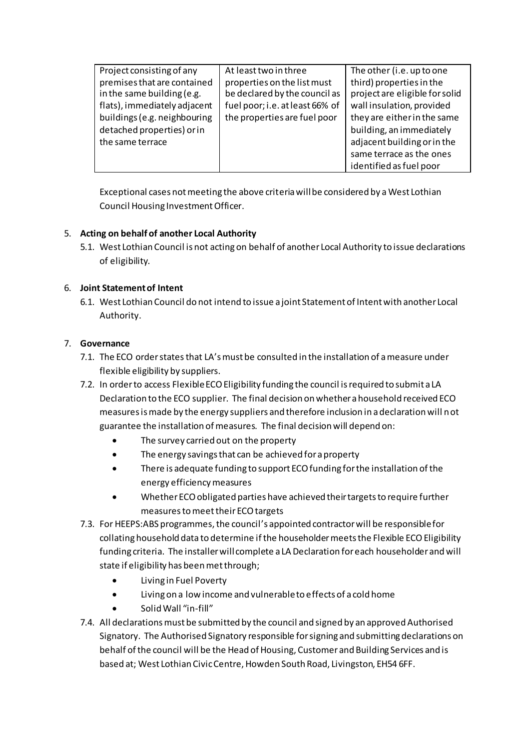| Project consisting of any    | At least two in three           | The other (i.e. up to one      |
|------------------------------|---------------------------------|--------------------------------|
| premises that are contained  | properties on the list must     | third) properties in the       |
| in the same building (e.g.   | be declared by the council as   | project are eligible for solid |
| flats), immediately adjacent | fuel poor; i.e. at least 66% of | wall insulation, provided      |
| buildings (e.g. neighbouring | the properties are fuel poor    | they are either in the same    |
| detached properties) or in   |                                 | building, an immediately       |
| the same terrace             |                                 | adjacent building or in the    |
|                              |                                 | same terrace as the ones       |
|                              |                                 | identified as fuel poor        |

Exceptional cases not meeting the above criteria will be considered by a West Lothian Council Housing Investment Officer.

## 5. **Acting on behalf of another Local Authority**

5.1. West Lothian Council is not acting on behalf of another Local Authority to issue declarations of eligibility.

## 6. **Joint Statement of Intent**

6.1. West Lothian Council do not intend to issue a joint Statement of Intent with another Local Authority.

### 7. **Governance**

- 7.1. The ECO order statesthat LA's must be consulted in the installation of a measure under flexible eligibility by suppliers.
- 7.2. In order to access Flexible ECO Eligibility funding the council is required to submit a LA Declaration to the ECO supplier. The final decision on whether a household received ECO measures is made by the energy suppliers and therefore inclusion in a declaration will not guarantee the installation of measures. The final decision will depend on:
	- The survey carried out on the property
	- The energy savings that can be achieved for a property
	- There is adequate funding to support ECO funding for the installation of the energy efficiency measures
	- Whether ECO obligated parties have achieved their targets to require further measures to meet their ECO targets
- 7.3. For HEEPS:ABS programmes, the council's appointed contractor will be responsible for collating household data to determine if the householder meets the Flexible ECO Eligibility funding criteria. The installer will complete a LA Declaration for each householder and will state if eligibility has been met through;
	- Living in Fuel Poverty
	- Living on a low income and vulnerable to effects of a cold home
	- Solid Wall "in-fill"
- 7.4. All declarations must be submitted by the council and signed by an approved Authorised Signatory. The Authorised Signatory responsible for signing and submitting declarations on behalf of the council will be the Head of Housing, Customer and Building Services and is based at; West Lothian Civic Centre, Howden South Road, Livingston, EH54 6FF.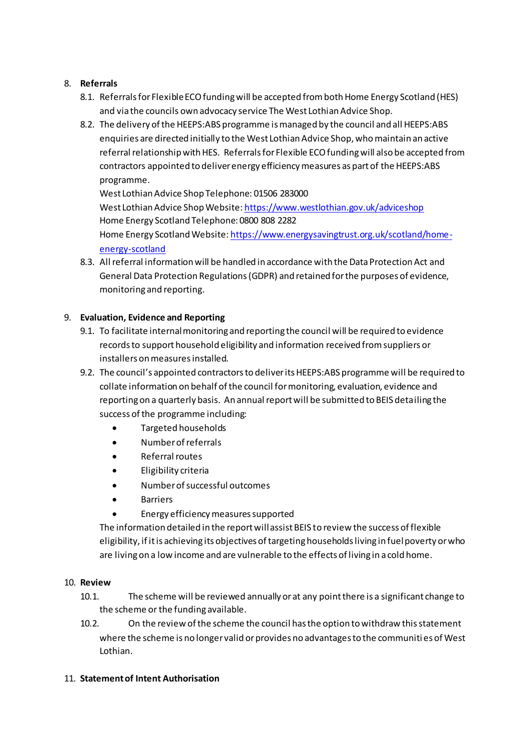## 8. **Referrals**

- 8.1. Referrals for Flexible ECO funding will be accepted from both Home Energy Scotland (HES) and via the councils own advocacy service The West Lothian Advice Shop.
- 8.2. The delivery of the HEEPS:ABS programme is managed by the council and all HEEPS:ABS enquiries are directed initially to the West Lothian Advice Shop, who maintain an active referral relationship with HES. Referrals for Flexible ECO funding will also be accepted from contractors appointed to deliver energy efficiency measures as part of the HEEPS:ABS programme.

West Lothian Advice Shop Telephone: 01506 283000 West Lothian Advice Shop Website[: https://www.westlothian.gov.uk/adviceshop](https://www.westlothian.gov.uk/adviceshop) Home Energy Scotland Telephone: 0800 808 2282 Home Energy Scotland Website[: https://www.energysavingtrust.org.uk/scotland/home](https://www.energysavingtrust.org.uk/scotland/home-energy-scotland)[energy-scotland](https://www.energysavingtrust.org.uk/scotland/home-energy-scotland)

8.3. All referral information will be handled in accordance with the Data Protection Act and General Data Protection Regulations (GDPR) and retained for the purposes of evidence, monitoring and reporting.

## 9. **Evaluation, Evidence and Reporting**

- 9.1. To facilitate internal monitoring and reporting the council will be required to evidence records to support household eligibility and information received from suppliers or installers on measures installed.
- 9.2. The council's appointed contractors to deliver its HEEPS:ABS programme will be required to collate information on behalf of the council for monitoring, evaluation, evidence and reporting on a quarterly basis. An annual report will be submitted to BEIS detailing the success of the programme including:
	- Targeted households
	- Number of referrals
	- Referral routes
	- Eligibility criteria
	- Number of successful outcomes
	- Barriers
	- Energy efficiency measures supported

The information detailed in the report will assist BEIS to review the success of flexible eligibility, if it is achieving its objectives of targeting households living in fuel poverty or who are living on a low income and are vulnerable to the effects of living in a cold home.

### 10. **Review**

- 10.1. The scheme will be reviewed annually or at any point there is a significant change to the scheme or the funding available.
- 10.2. On the review of the scheme the council has the option to withdraw this statement where the scheme is no longer valid or provides no advantages to the communiti es of West Lothian.

## 11. **Statement of Intent Authorisation**